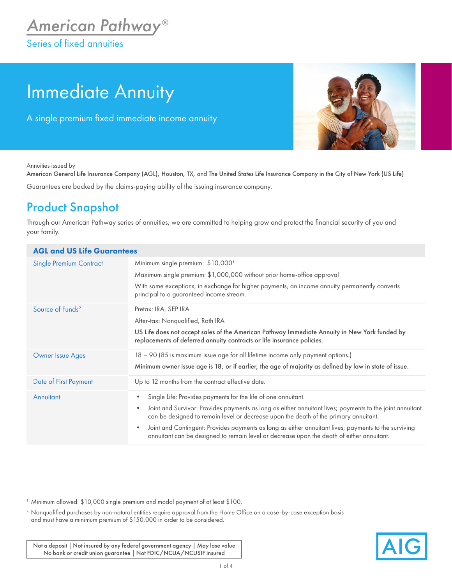## Immediate Annuity

A single premium fixed immediate income annuity



Annuities issued by

American General Life Insurance Company (AGL), Houston, TX, and The United States Life Insurance Company in the City of New York (US Life) Guarantees are backed by the claims-paying ability of the issuing insurance company.

## Product Snapshot

Through our American Pathway series of annuities, we are committed to helping grow and protect the financial security of you and your family.

| <b>AGL and US Life Guarantees</b> |                                                                                                                                                                                                                |  |  |  |  |  |
|-----------------------------------|----------------------------------------------------------------------------------------------------------------------------------------------------------------------------------------------------------------|--|--|--|--|--|
| <b>Single Premium Contract</b>    | Minimum single premium: \$10,0001<br>Maximum single premium: \$1,000,000 without prior home-office approval                                                                                                    |  |  |  |  |  |
|                                   | With some exceptions, in exchange for higher payments, an income annuity permanently converts<br>principal to a guaranteed income stream.                                                                      |  |  |  |  |  |
| Source of Funds <sup>2</sup>      | Pretax: IRA, SEP IRA                                                                                                                                                                                           |  |  |  |  |  |
|                                   | After-tax: Nonqualified, Roth IRA                                                                                                                                                                              |  |  |  |  |  |
|                                   | US Life does not accept sales of the American Pathway Immediate Annuity in New York funded by<br>replacements of deferred annuity contracts or life insurance policies.                                        |  |  |  |  |  |
| <b>Owner Issue Ages</b>           | 18 – 90 (85 is maximum issue age for all lifetime income only payment options.)                                                                                                                                |  |  |  |  |  |
|                                   | Minimum owner issue age is 18, or if earlier, the age of majority as defined by law in state of issue.                                                                                                         |  |  |  |  |  |
| Date of First Payment             | Up to 12 months from the contract effective date.                                                                                                                                                              |  |  |  |  |  |
| Annuitant                         | Single Life: Provides payments for the life of one annuitant.<br>$\bullet$                                                                                                                                     |  |  |  |  |  |
|                                   | Joint and Survivor: Provides payments as long as either annuitant lives; payments to the joint annuitant<br>$\bullet$<br>can be designed to remain level or decrease upon the death of the primary annuitant.  |  |  |  |  |  |
|                                   | Joint and Contingent: Provides payments as long as either annuitant lives; payments to the surviving<br>$\bullet$<br>annuitant can be designed to remain level or decrease upon the death of either annuitant. |  |  |  |  |  |

<sup>1</sup> Minimum allowed: \$10,000 single premium and modal payment of at least \$100.

<sup>2</sup> Nonqualified purchases by non-natural entities require approval from the Home Office on a case-by-case exception basis and must have a minimum premium of \$150,000 in order to be considered.

Not a deposit | Not insured by any federal government agency | May lose value No bank or credit union guarantee | Not FDIC/NCUA/NCUSIF insured

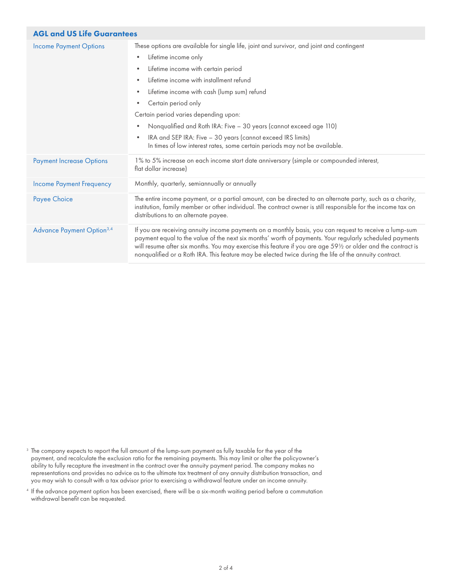| <b>AGL and US Life Guarantees</b>            |                                                                                                                                                                                                                                                                                                                                                                                                                                                                                                                                                                                                                                  |  |  |  |  |
|----------------------------------------------|----------------------------------------------------------------------------------------------------------------------------------------------------------------------------------------------------------------------------------------------------------------------------------------------------------------------------------------------------------------------------------------------------------------------------------------------------------------------------------------------------------------------------------------------------------------------------------------------------------------------------------|--|--|--|--|
| <b>Income Payment Options</b>                | These options are available for single life, joint and survivor, and joint and contingent<br>Lifetime income only<br>$\bullet$<br>Lifetime income with certain period<br>$\bullet$<br>Lifetime income with installment refund<br>$\bullet$<br>Lifetime income with cash (lump sum) refund<br>$\bullet$<br>Certain period only<br>$\bullet$<br>Certain period varies depending upon:<br>Nonqualified and Roth IRA: Five - 30 years (cannot exceed age 110)<br>$\bullet$<br>IRA and SEP IRA: Five - 30 years (cannot exceed IRS limits)<br>$\bullet$<br>In times of low interest rates, some certain periods may not be available. |  |  |  |  |
| <b>Payment Increase Options</b>              | 1% to 5% increase on each income start date anniversary (simple or compounded interest,<br>flat dollar increase)                                                                                                                                                                                                                                                                                                                                                                                                                                                                                                                 |  |  |  |  |
| <b>Income Payment Frequency</b>              | Monthly, quarterly, semiannually or annually                                                                                                                                                                                                                                                                                                                                                                                                                                                                                                                                                                                     |  |  |  |  |
| Payee Choice                                 | The entire income payment, or a partial amount, can be directed to an alternate party, such as a charity,<br>institution, family member or other individual. The contract owner is still responsible for the income tax on<br>distributions to an alternate payee.                                                                                                                                                                                                                                                                                                                                                               |  |  |  |  |
| <b>Advance Payment Option</b> <sup>3,4</sup> | If you are receiving annuity income payments on a monthly basis, you can request to receive a lump-sum<br>payment equal to the value of the next six months' worth of payments. Your regularly scheduled payments<br>will resume after six months. You may exercise this feature if you are age 591/2 or older and the contract is<br>nonqualified or a Roth IRA. This feature may be elected twice during the life of the annuity contract.                                                                                                                                                                                     |  |  |  |  |

- $^{\rm 3}$  The company expects to report the full amount of the lump-sum payment as fully taxable for the year of the  $\,$ payment, and recalculate the exclusion ratio for the remaining payments. This may limit or alter the policyowner's ability to fully recapture the investment in the contract over the annuity payment period. The company makes no representations and provides no advice as to the ultimate tax treatment of any annuity distribution transaction, and you may wish to consult with a tax advisor prior to exercising a withdrawal feature under an income annuity.
- <sup>4</sup> If the advance payment option has been exercised, there will be a six-month waiting period before a commutation withdrawal benefit can be requested.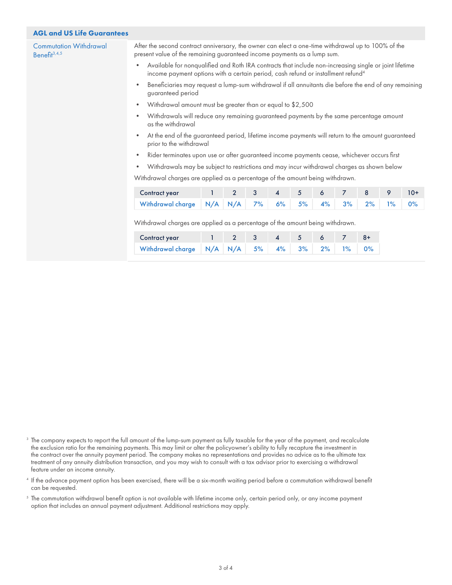## AGL and US Life Guarantees

Commutation Withdrawal Benefit $3,4,5$ 

After the second contract anniversary, the owner can elect a one-time withdrawal up to 100% of the present value of the remaining guaranteed income payments as a lump sum.

- Available for nonqualified and Roth IRA contracts that include non-increasing single or joint lifetime income payment options with a certain period, cash refund or installment refund<sup>4</sup>
- Beneficiaries may request a lump-sum withdrawal if all annuitants die before the end of any remaining guaranteed period
- Withdrawal amount must be greater than or equal to \$2,500
- Withdrawals will reduce any remaining guaranteed payments by the same percentage amount as the withdrawal
- At the end of the guaranteed period, lifetime income payments will return to the amount guaranteed prior to the withdrawal
- Rider terminates upon use or after guaranteed income payments cease, whichever occurs first
- Withdrawals may be subject to restrictions and may incur withdrawal charges as shown below

Withdrawal charges are applied as a percentage of the amount being withdrawn.

| <b>Contract year</b>                              | $1$ 2 3 4 5 6 7 8 9 10+ |  |  |  |  |
|---------------------------------------------------|-------------------------|--|--|--|--|
| Withdrawal charge N/A N/A 7% 6% 5% 4% 3% 2% 1% 0% |                         |  |  |  |  |

Withdrawal charges are applied as a percentage of the amount being withdrawn.

| Contract year                               | $2 \quad 3$ |  | 4 5 6 7 |  |
|---------------------------------------------|-------------|--|---------|--|
| Withdrawal charge N/A N/A 5% 4% 3% 2% 1% 0% |             |  |         |  |

- <sup>3</sup> The company expects to report the full amount of the lump-sum payment as fully taxable for the year of the payment, and recalculate the exclusion ratio for the remaining payments. This may limit or alter the policyowner's ability to fully recapture the investment in the contract over the annuity payment period. The company makes no representations and provides no advice as to the ultimate tax treatment of any annuity distribution transaction, and you may wish to consult with a tax advisor prior to exercising a withdrawal feature under an income annuity.
- <sup>4</sup> If the advance payment option has been exercised, there will be a six-month waiting period before a commutation withdrawal benefit can be requested.
- $5$  The commutation withdrawal benefit option is not available with lifetime income only, certain period only, or any income payment option that includes an annual payment adjustment. Additional restrictions may apply.